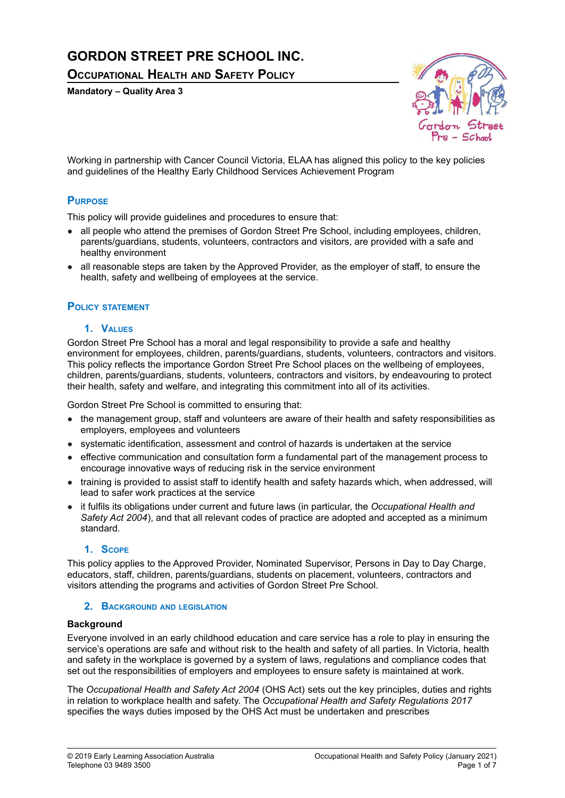# **GORDON STREET PRE SCHOOL INC.**

**OCCUPATIONAL HEALTH AND SAFETY POLICY**

**Mandatory – Quality Area 3**



Working in partnership with Cancer Council Victoria, ELAA has aligned this policy to the key policies and guidelines of the Healthy Early Childhood Services Achievement Program

## **PURPOSE**

This policy will provide guidelines and procedures to ensure that:

- all people who attend the premises of Gordon Street Pre School, including employees, children, parents/guardians, students, volunteers, contractors and visitors, are provided with a safe and healthy environment
- all reasonable steps are taken by the Approved Provider, as the employer of staff, to ensure the health, safety and wellbeing of employees at the service.

## **POLICY STATEMENT**

#### **1. VALUES**

Gordon Street Pre School has a moral and legal responsibility to provide a safe and healthy environment for employees, children, parents/guardians, students, volunteers, contractors and visitors. This policy reflects the importance Gordon Street Pre School places on the wellbeing of employees, children, parents/guardians, students, volunteers, contractors and visitors, by endeavouring to protect their health, safety and welfare, and integrating this commitment into all of its activities.

Gordon Street Pre School is committed to ensuring that:

- the management group, staff and volunteers are aware of their health and safety responsibilities as employers, employees and volunteers
- systematic identification, assessment and control of hazards is undertaken at the service
- effective communication and consultation form a fundamental part of the management process to encourage innovative ways of reducing risk in the service environment
- training is provided to assist staff to identify health and safety hazards which, when addressed, will lead to safer work practices at the service
- it fulfils its obligations under current and future laws (in particular, the *Occupational Health and Safety Act 2004*), and that all relevant codes of practice are adopted and accepted as a minimum standard.

#### **1. SCOPE**

This policy applies to the Approved Provider, Nominated Supervisor, Persons in Day to Day Charge, educators, staff, children, parents/guardians, students on placement, volunteers, contractors and visitors attending the programs and activities of Gordon Street Pre School.

#### **2. BACKGROUND AND LEGISLATION**

#### **Background**

Everyone involved in an early childhood education and care service has a role to play in ensuring the service's operations are safe and without risk to the health and safety of all parties. In Victoria, health and safety in the workplace is governed by a system of laws, regulations and compliance codes that set out the responsibilities of employers and employees to ensure safety is maintained at work.

The *Occupational Health and Safety Act 2004* (OHS Act) sets out the key principles, duties and rights in relation to workplace health and safety. The *Occupational Health and Safety Regulations 2017* specifies the ways duties imposed by the OHS Act must be undertaken and prescribes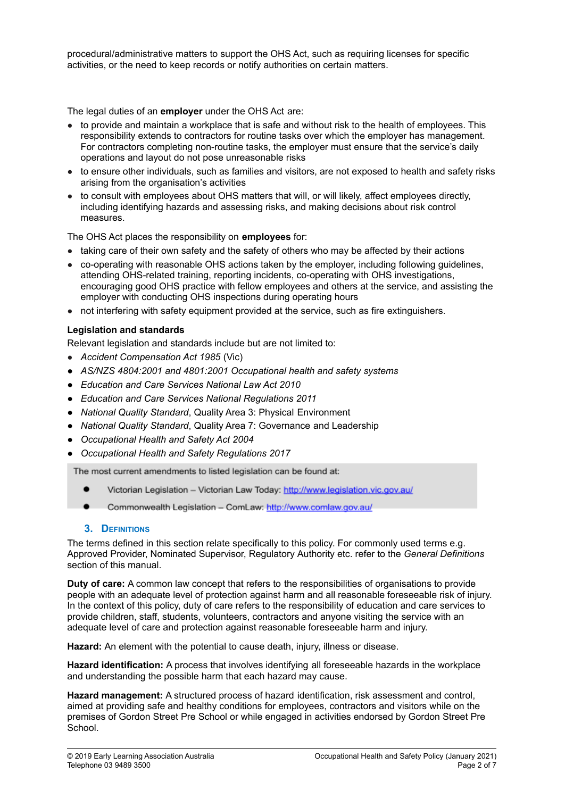procedural/administrative matters to support the OHS Act, such as requiring licenses for specific activities, or the need to keep records or notify authorities on certain matters.

The legal duties of an **employer** under the OHS Act are:

- to provide and maintain a workplace that is safe and without risk to the health of employees. This responsibility extends to contractors for routine tasks over which the employer has management. For contractors completing non-routine tasks, the employer must ensure that the service's daily operations and layout do not pose unreasonable risks
- to ensure other individuals, such as families and visitors, are not exposed to health and safety risks arising from the organisation's activities
- to consult with employees about OHS matters that will, or will likely, affect employees directly, including identifying hazards and assessing risks, and making decisions about risk control measures.

The OHS Act places the responsibility on **employees** for:

- taking care of their own safety and the safety of others who may be affected by their actions
- co-operating with reasonable OHS actions taken by the employer, including following guidelines, attending OHS-related training, reporting incidents, co-operating with OHS investigations, encouraging good OHS practice with fellow employees and others at the service, and assisting the employer with conducting OHS inspections during operating hours
- not interfering with safety equipment provided at the service, such as fire extinguishers.

## **Legislation and standards**

Relevant legislation and standards include but are not limited to:

- *Accident Compensation Act 1985* (Vic)
- *● AS/NZS 4804:2001 and 4801:2001 Occupational health and safety systems*
- *● Education and Care Services National Law Act 2010*
- *● Education and Care Services National Regulations 2011*
- *● National Quality Standard*, Quality Area 3: Physical Environment
- *● National Quality Standard*, Quality Area 7: Governance and Leadership
- *● Occupational Health and Safety Act 2004*
- *● Occupational Health and Safety Regulations 2017*

The most current amendments to listed legislation can be found at:

- Victorian Legislation Victorian Law Today: http://www.legislation.vic.gov.au/
- Commonwealth Legislation ComLaw: http://www.comlaw.gov.au/

#### **3. DEFINITIONS**

The terms defined in this section relate specifically to this policy. For commonly used terms e.g. Approved Provider, Nominated Supervisor, Regulatory Authority etc. refer to the *General Definitions* section of this manual.

**Duty of care:** A common law concept that refers to the responsibilities of organisations to provide people with an adequate level of protection against harm and all reasonable foreseeable risk of injury. In the context of this policy, duty of care refers to the responsibility of education and care services to provide children, staff, students, volunteers, contractors and anyone visiting the service with an adequate level of care and protection against reasonable foreseeable harm and injury.

**Hazard:** An element with the potential to cause death, injury, illness or disease.

**Hazard identification:** A process that involves identifying all foreseeable hazards in the workplace and understanding the possible harm that each hazard may cause.

**Hazard management:** A structured process of hazard identification, risk assessment and control, aimed at providing safe and healthy conditions for employees, contractors and visitors while on the premises of Gordon Street Pre School or while engaged in activities endorsed by Gordon Street Pre School.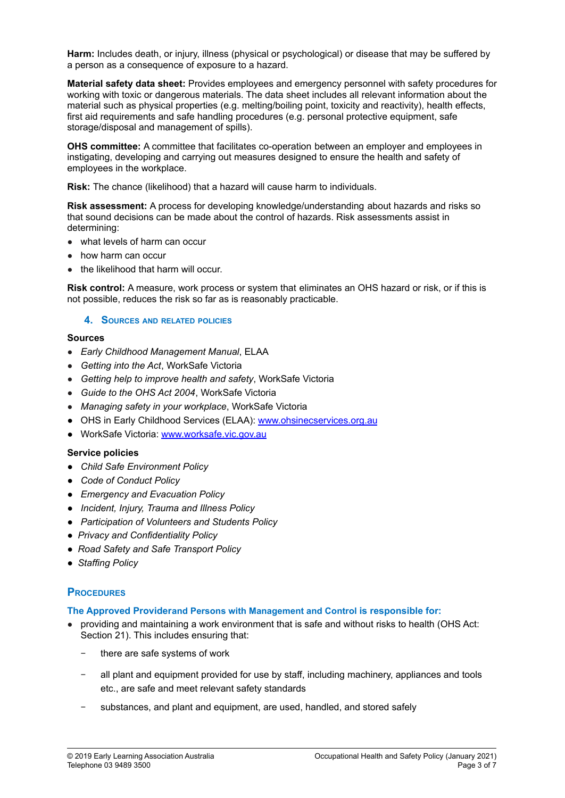**Harm:** Includes death, or injury, illness (physical or psychological) or disease that may be suffered by a person as a consequence of exposure to a hazard.

**Material safety data sheet:** Provides employees and emergency personnel with safety procedures for working with toxic or dangerous materials. The data sheet includes all relevant information about the material such as physical properties (e.g. melting/boiling point, toxicity and reactivity), health effects, first aid requirements and safe handling procedures (e.g. personal protective equipment, safe storage/disposal and management of spills).

**OHS committee:** A committee that facilitates co-operation between an employer and employees in instigating, developing and carrying out measures designed to ensure the health and safety of employees in the workplace.

**Risk:** The chance (likelihood) that a hazard will cause harm to individuals.

**Risk assessment:** A process for developing knowledge/understanding about hazards and risks so that sound decisions can be made about the control of hazards. Risk assessments assist in determining:

- what levels of harm can occur
- how harm can occur
- the likelihood that harm will occur.

**Risk control:** A measure, work process or system that eliminates an OHS hazard or risk, or if this is not possible, reduces the risk so far as is reasonably practicable.

#### **4. SOURCES AND RELATED POLICIES**

#### **Sources**

- *Early Childhood Management Manual*, ELAA
- *Getting into the Act*, WorkSafe Victoria
- *Getting help to improve health and safety*, WorkSafe Victoria
- *Guide to the OHS Act 2004*, WorkSafe Victoria
- *Managing safety in your workplace*, WorkSafe Victoria
- OHS in Early Childhood Services (ELAA): [www.ohsinecservices.org.au](http://www.ohsinecservices.org.au)
- WorkSafe Victoria: [www.worksafe.vic.gov.au](http://www.worksafe.vic.gov.au)

#### **Service policies**

- *● Child Safe Environment Policy*
- *● Code of Conduct Policy*
- *● Emergency and Evacuation Policy*
- *● Incident, Injury, Trauma and Illness Policy*
- *● Participation of Volunteers and Students Policy*
- *● Privacy and Confidentiality Policy*
- *● Road Safety and Safe Transport Policy*
- *● Staffing Policy*

## **PROCEDURES**

#### **The Approved Providerand Persons with Management and Control is responsible for:**

- providing and maintaining a work environment that is safe and without risks to health (OHS Act: Section 21). This includes ensuring that:
	- there are safe systems of work
	- all plant and equipment provided for use by staff, including machinery, appliances and tools etc., are safe and meet relevant safety standards
	- substances, and plant and equipment, are used, handled, and stored safely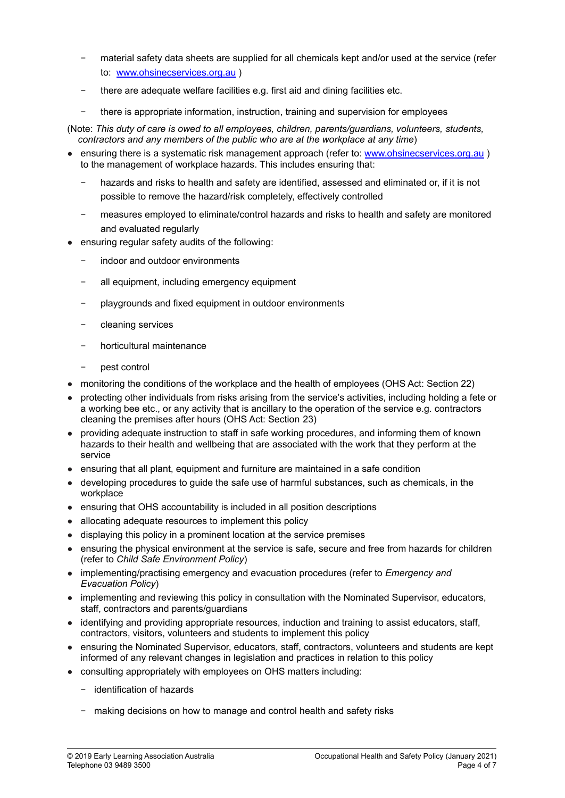- material safety data sheets are supplied for all chemicals kept and/or used at the service (refer to: [www.ohsinecservices.org.au](http://www.ohsinecservices.org.au) )
- there are adequate welfare facilities e.g. first aid and dining facilities etc.
- there is appropriate information, instruction, training and supervision for employees

(Note: *This duty of care is owed to all employees, children, parents/guardians, volunteers, students, contractors and any members of the public who are at the workplace at any time*)

- ensuring there is a systematic risk management approach (refer to: [www.ohsinecservices.org.au](http://www.ohsinecservices.org.au) ) to the management of workplace hazards. This includes ensuring that:
	- hazards and risks to health and safety are identified, assessed and eliminated or, if it is not possible to remove the hazard/risk completely, effectively controlled
	- − measures employed to eliminate/control hazards and risks to health and safety are monitored and evaluated regularly
- ensuring regular safety audits of the following:
	- indoor and outdoor environments
	- all equipment, including emergency equipment
	- − playgrounds and fixed equipment in outdoor environments
	- − cleaning services
	- − horticultural maintenance
	- − pest control
- monitoring the conditions of the workplace and the health of employees (OHS Act: Section 22)
- protecting other individuals from risks arising from the service's activities, including holding a fete or a working bee etc., or any activity that is ancillary to the operation of the service e.g. contractors cleaning the premises after hours (OHS Act: Section 23)
- providing adequate instruction to staff in safe working procedures, and informing them of known hazards to their health and wellbeing that are associated with the work that they perform at the service
- ensuring that all plant, equipment and furniture are maintained in a safe condition
- developing procedures to guide the safe use of harmful substances, such as chemicals, in the workplace
- ensuring that OHS accountability is included in all position descriptions
- allocating adequate resources to implement this policy
- displaying this policy in a prominent location at the service premises
- ensuring the physical environment at the service is safe, secure and free from hazards for children (refer to *Child Safe Environment Policy*)
- implementing/practising emergency and evacuation procedures (refer to *Emergency and Evacuation Policy*)
- implementing and reviewing this policy in consultation with the Nominated Supervisor, educators, staff, contractors and parents/guardians
- identifying and providing appropriate resources, induction and training to assist educators, staff, contractors, visitors, volunteers and students to implement this policy
- ensuring the Nominated Supervisor, educators, staff, contractors, volunteers and students are kept informed of any relevant changes in legislation and practices in relation to this policy
- consulting appropriately with employees on OHS matters including:
	- − identification of hazards
	- − making decisions on how to manage and control health and safety risks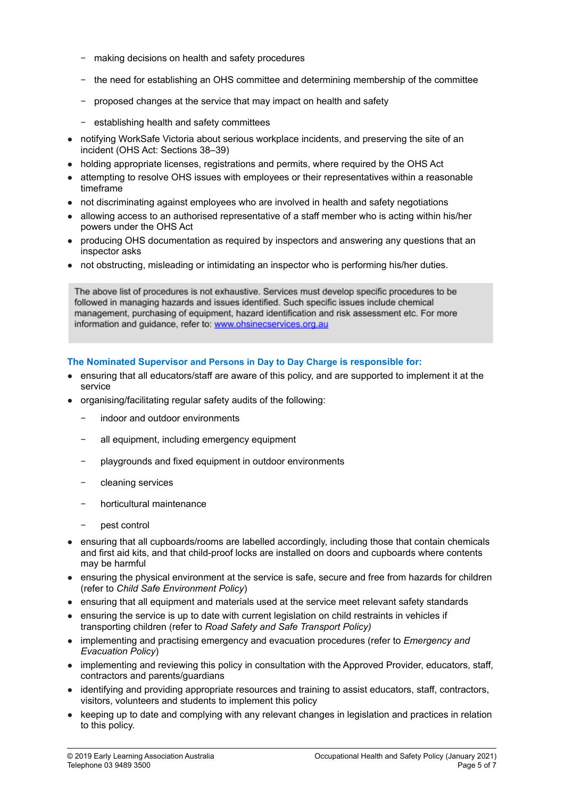- − making decisions on health and safety procedures
- − the need for establishing an OHS committee and determining membership of the committee
- − proposed changes at the service that may impact on health and safety
- − establishing health and safety committees
- notifying WorkSafe Victoria about serious workplace incidents, and preserving the site of an incident (OHS Act: Sections 38–39)
- holding appropriate licenses, registrations and permits, where required by the OHS Act
- attempting to resolve OHS issues with employees or their representatives within a reasonable timeframe
- not discriminating against employees who are involved in health and safety negotiations
- allowing access to an authorised representative of a staff member who is acting within his/her powers under the OHS Act
- producing OHS documentation as required by inspectors and answering any questions that an inspector asks
- not obstructing, misleading or intimidating an inspector who is performing his/her duties.

The above list of procedures is not exhaustive. Services must develop specific procedures to be followed in managing hazards and issues identified. Such specific issues include chemical management, purchasing of equipment, hazard identification and risk assessment etc. For more information and guidance, refer to: www.ohsinecservices.org.au

## **The Nominated Supervisor and Persons in Day to Day Charge is responsible for:**

- ensuring that all educators/staff are aware of this policy, and are supported to implement it at the service
- organising/facilitating regular safety audits of the following:
	- indoor and outdoor environments
	- all equipment, including emergency equipment
	- − playgrounds and fixed equipment in outdoor environments
	- − cleaning services
	- − horticultural maintenance
	- − pest control
- ensuring that all cupboards/rooms are labelled accordingly, including those that contain chemicals and first aid kits, and that child-proof locks are installed on doors and cupboards where contents may be harmful
- ensuring the physical environment at the service is safe, secure and free from hazards for children (refer to *Child Safe Environment Policy*)
- ensuring that all equipment and materials used at the service meet relevant safety standards
- ensuring the service is up to date with current legislation on child restraints in vehicles if transporting children (refer to *Road Safety and Safe Transport Policy)*
- implementing and practising emergency and evacuation procedures (refer to *Emergency and Evacuation Policy*)
- implementing and reviewing this policy in consultation with the Approved Provider, educators, staff, contractors and parents/guardians
- identifying and providing appropriate resources and training to assist educators, staff, contractors, visitors, volunteers and students to implement this policy
- keeping up to date and complying with any relevant changes in legislation and practices in relation to this policy.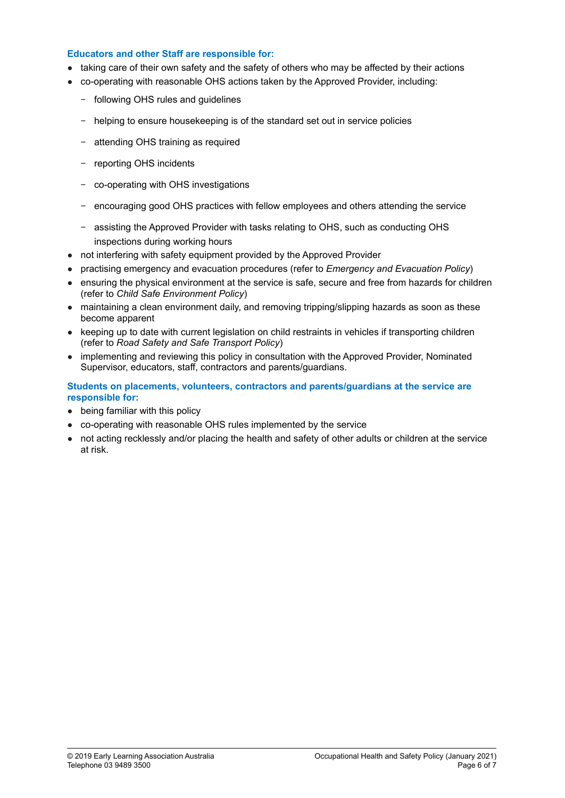#### **Educators and other Staff are responsible for:**

- taking care of their own safety and the safety of others who may be affected by their actions
- co-operating with reasonable OHS actions taken by the Approved Provider, including:
	- − following OHS rules and guidelines
	- − helping to ensure housekeeping is of the standard set out in service policies
	- − attending OHS training as required
	- − reporting OHS incidents
	- − co-operating with OHS investigations
	- − encouraging good OHS practices with fellow employees and others attending the service
	- − assisting the Approved Provider with tasks relating to OHS, such as conducting OHS inspections during working hours
- not interfering with safety equipment provided by the Approved Provider
- practising emergency and evacuation procedures (refer to *Emergency and Evacuation Policy*)
- ensuring the physical environment at the service is safe, secure and free from hazards for children (refer to *Child Safe Environment Policy*)
- maintaining a clean environment daily, and removing tripping/slipping hazards as soon as these become apparent
- keeping up to date with current legislation on child restraints in vehicles if transporting children (refer to *Road Safety and Safe Transport Policy*)
- implementing and reviewing this policy in consultation with the Approved Provider, Nominated Supervisor, educators, staff, contractors and parents/guardians.

#### **Students on placements, volunteers, contractors and parents/guardians at the service are responsible for:**

- being familiar with this policy
- co-operating with reasonable OHS rules implemented by the service
- not acting recklessly and/or placing the health and safety of other adults or children at the service at risk.